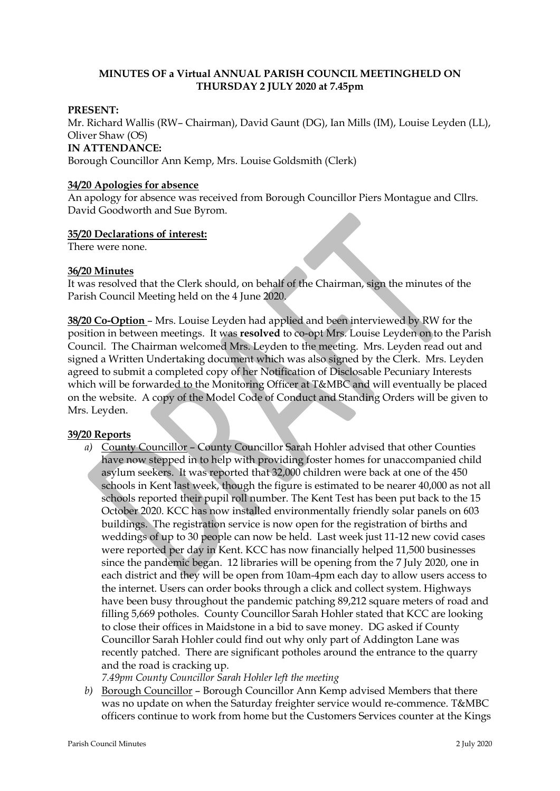## **MINUTES OF a Virtual ANNUAL PARISH COUNCIL MEETINGHELD ON THURSDAY 2 JULY 2020 at 7.45pm**

### **PRESENT:**

Mr. Richard Wallis (RW– Chairman), David Gaunt (DG), Ian Mills (IM), Louise Leyden (LL), Oliver Shaw (OS) **IN ATTENDANCE:** Borough Councillor Ann Kemp, Mrs. Louise Goldsmith (Clerk)

#### **34/20 Apologies for absence**

An apology for absence was received from Borough Councillor Piers Montague and Cllrs. David Goodworth and Sue Byrom.

### **35/20 Declarations of interest:**

There were none.

### **36/20 Minutes**

It was resolved that the Clerk should, on behalf of the Chairman, sign the minutes of the Parish Council Meeting held on the 4 June 2020.

**38/20 Co-Option** – Mrs. Louise Leyden had applied and been interviewed by RW for the position in between meetings. It was **resolved** to co-opt Mrs. Louise Leyden on to the Parish Council. The Chairman welcomed Mrs. Leyden to the meeting. Mrs. Leyden read out and signed a Written Undertaking document which was also signed by the Clerk. Mrs. Leyden agreed to submit a completed copy of her Notification of Disclosable Pecuniary Interests which will be forwarded to the Monitoring Officer at T&MBC and will eventually be placed on the website. A copy of the Model Code of Conduct and Standing Orders will be given to Mrs. Leyden.

## **39/20 Reports**

- *a)* County Councillor County Councillor Sarah Hohler advised that other Counties have now stepped in to help with providing foster homes for unaccompanied child asylum seekers. It was reported that 32,000 children were back at one of the 450 schools in Kent last week, though the figure is estimated to be nearer 40,000 as not all schools reported their pupil roll number. The Kent Test has been put back to the 15 October 2020. KCC has now installed environmentally friendly solar panels on 603 buildings. The registration service is now open for the registration of births and weddings of up to 30 people can now be held. Last week just 11-12 new covid cases were reported per day in Kent. KCC has now financially helped 11,500 businesses since the pandemic began. 12 libraries will be opening from the 7 July 2020, one in each district and they will be open from 10am-4pm each day to allow users access to the internet. Users can order books through a click and collect system. Highways have been busy throughout the pandemic patching 89,212 square meters of road and filling 5,669 potholes. County Councillor Sarah Hohler stated that KCC are looking to close their offices in Maidstone in a bid to save money. DG asked if County Councillor Sarah Hohler could find out why only part of Addington Lane was recently patched. There are significant potholes around the entrance to the quarry and the road is cracking up.
	- *7.49pm County Councillor Sarah Hohler left the meeting*
- *b)* Borough Councillor Borough Councillor Ann Kemp advised Members that there was no update on when the Saturday freighter service would re-commence. T&MBC officers continue to work from home but the Customers Services counter at the Kings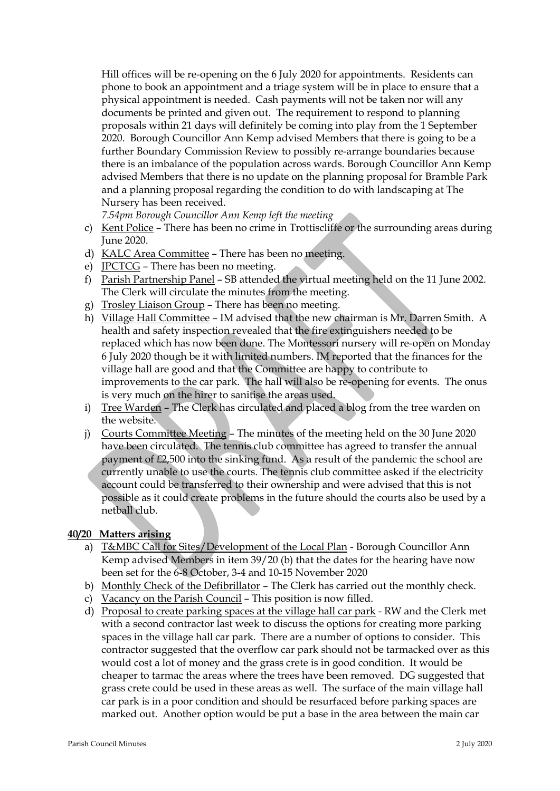Hill offices will be re-opening on the 6 July 2020 for appointments. Residents can phone to book an appointment and a triage system will be in place to ensure that a physical appointment is needed. Cash payments will not be taken nor will any documents be printed and given out. The requirement to respond to planning proposals within 21 days will definitely be coming into play from the 1 September 2020. Borough Councillor Ann Kemp advised Members that there is going to be a further Boundary Commission Review to possibly re-arrange boundaries because there is an imbalance of the population across wards. Borough Councillor Ann Kemp advised Members that there is no update on the planning proposal for Bramble Park and a planning proposal regarding the condition to do with landscaping at The Nursery has been received.

*7.54pm Borough Councillor Ann Kemp left the meeting*

- c) Kent Police There has been no crime in Trottiscliffe or the surrounding areas during June 2020.
- d) KALC Area Committee There has been no meeting.
- e) JPCTCG There has been no meeting.
- f) Parish Partnership Panel SB attended the virtual meeting held on the 11 June 2002. The Clerk will circulate the minutes from the meeting.
- g) Trosley Liaison Group There has been no meeting.
- h) Village Hall Committee IM advised that the new chairman is Mr. Darren Smith. A health and safety inspection revealed that the fire extinguishers needed to be replaced which has now been done. The Montessori nursery will re-open on Monday 6 July 2020 though be it with limited numbers. IM reported that the finances for the village hall are good and that the Committee are happy to contribute to improvements to the car park. The hall will also be re-opening for events. The onus is very much on the hirer to sanitise the areas used.
- i) Tree Warden The Clerk has circulated and placed a blog from the tree warden on the website.
- j) Courts Committee Meeting The minutes of the meeting held on the 30 June 2020 have been circulated. The tennis club committee has agreed to transfer the annual payment of £2,500 into the sinking fund. As a result of the pandemic the school are currently unable to use the courts. The tennis club committee asked if the electricity account could be transferred to their ownership and were advised that this is not possible as it could create problems in the future should the courts also be used by a netball club.

## **40/20 Matters arising**

- a) T&MBC Call for Sites/Development of the Local Plan Borough Councillor Ann Kemp advised Members in item 39/20 (b) that the dates for the hearing have now been set for the 6-8 October, 3-4 and 10-15 November 2020
- b) Monthly Check of the Defibrillator The Clerk has carried out the monthly check.
- c) Vacancy on the Parish Council This position is now filled.
- d) Proposal to create parking spaces at the village hall car park RW and the Clerk met with a second contractor last week to discuss the options for creating more parking spaces in the village hall car park. There are a number of options to consider. This contractor suggested that the overflow car park should not be tarmacked over as this would cost a lot of money and the grass crete is in good condition. It would be cheaper to tarmac the areas where the trees have been removed. DG suggested that grass crete could be used in these areas as well. The surface of the main village hall car park is in a poor condition and should be resurfaced before parking spaces are marked out. Another option would be put a base in the area between the main car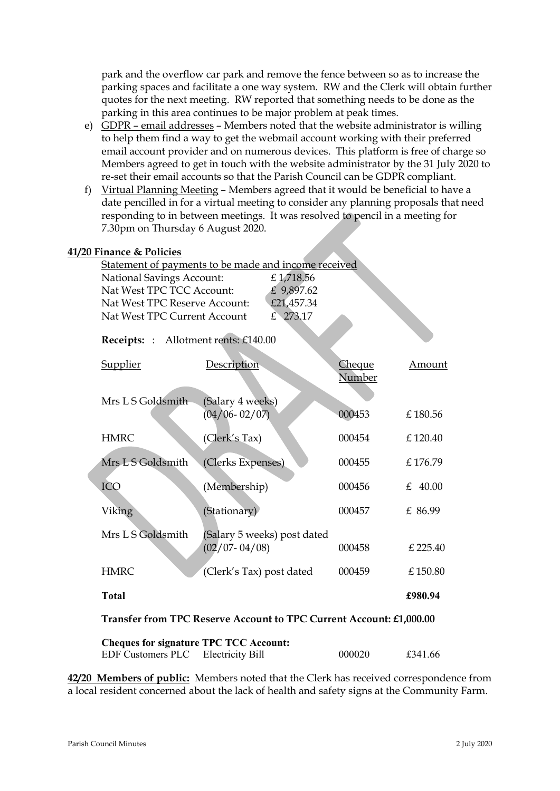park and the overflow car park and remove the fence between so as to increase the parking spaces and facilitate a one way system. RW and the Clerk will obtain further quotes for the next meeting. RW reported that something needs to be done as the parking in this area continues to be major problem at peak times.

- e) GDPR email addresses Members noted that the website administrator is willing to help them find a way to get the webmail account working with their preferred email account provider and on numerous devices. This platform is free of charge so Members agreed to get in touch with the website administrator by the 31 July 2020 to re-set their email accounts so that the Parish Council can be GDPR compliant.
- f) Virtual Planning Meeting Members agreed that it would be beneficial to have a date pencilled in for a virtual meeting to consider any planning proposals that need responding to in between meetings. It was resolved to pencil in a meeting for 7.30pm on Thursday 6 August 2020.

### **41/20 Finance & Policies**

|                                                                     |                                      | Statement of payments to be made and income received |               |           |  |  |
|---------------------------------------------------------------------|--------------------------------------|------------------------------------------------------|---------------|-----------|--|--|
|                                                                     | <b>National Savings Account:</b>     | £1,718.56                                            |               |           |  |  |
|                                                                     | Nat West TPC TCC Account:            | £ 9,897.62                                           |               |           |  |  |
|                                                                     | Nat West TPC Reserve Account:        | £21,457.34                                           |               |           |  |  |
|                                                                     | Nat West TPC Current Account         | £ 273.17                                             |               |           |  |  |
|                                                                     | Receipts: : Allotment rents: £140.00 |                                                      |               |           |  |  |
|                                                                     | <b>Supplier</b>                      | Description                                          | <b>Cheque</b> | Amount    |  |  |
|                                                                     |                                      |                                                      | Number        |           |  |  |
|                                                                     |                                      |                                                      |               |           |  |  |
|                                                                     | Mrs L S Goldsmith                    | (Salary 4 weeks)                                     |               |           |  |  |
|                                                                     |                                      | $(04/06 - 02/07)$                                    | 000453        | £180.56   |  |  |
|                                                                     | <b>HMRC</b>                          | (Clerk's Tax)                                        | 000454        | £120.40   |  |  |
|                                                                     |                                      |                                                      |               |           |  |  |
|                                                                     | Mrs L S Goldsmith                    | (Clerks Expenses)                                    | 000455        | £176.79   |  |  |
|                                                                     |                                      |                                                      |               |           |  |  |
|                                                                     | ICO                                  | (Membership)                                         | 000456        | £ $40.00$ |  |  |
|                                                                     | Viking                               | (Stationary)                                         | 000457        | £ 86.99   |  |  |
|                                                                     |                                      |                                                      |               |           |  |  |
|                                                                     | Mrs L S Goldsmith                    | (Salary 5 weeks) post dated                          |               |           |  |  |
|                                                                     |                                      | $(02/07 - 04/08)$                                    | 000458        | £ 225.40  |  |  |
|                                                                     |                                      |                                                      |               |           |  |  |
|                                                                     | <b>HMRC</b>                          | (Clerk's Tax) post dated                             | 000459        | £150.80   |  |  |
|                                                                     | <b>Total</b>                         |                                                      |               | £980.94   |  |  |
| Transfer from TPC Reserve Account to TPC Current Account: £1,000.00 |                                      |                                                      |               |           |  |  |
|                                                                     |                                      |                                                      |               |           |  |  |

| <b>Cheques for signature TPC TCC Account:</b> |        |         |
|-----------------------------------------------|--------|---------|
| EDF Customers PLC Electricity Bill            | 000020 | £341.66 |

**42/20 Members of public:** Members noted that the Clerk has received correspondence from a local resident concerned about the lack of health and safety signs at the Community Farm.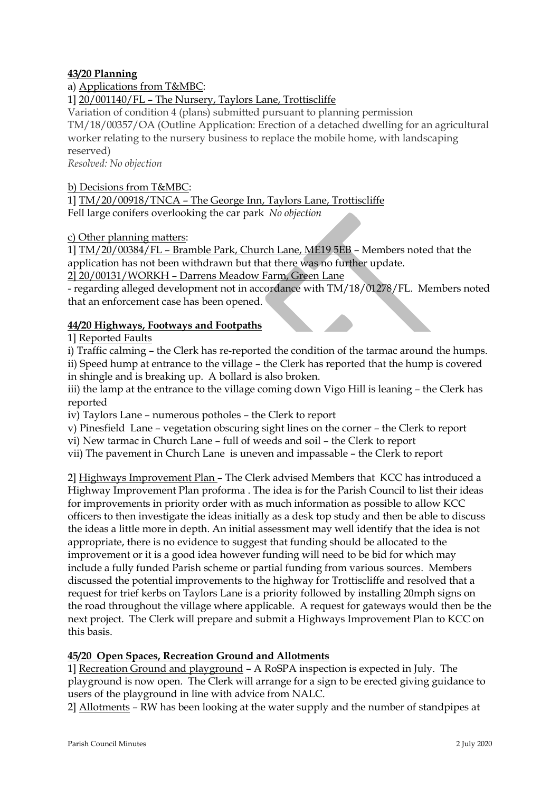## **43/20 Planning**

# a) Applications from T&MBC:

# 1] 20/001140/FL – The Nursery, Taylors Lane, Trottiscliffe

Variation of condition 4 (plans) submitted pursuant to planning permission TM/18/00357/OA (Outline Application: Erection of a detached dwelling for an agricultural worker relating to the nursery business to replace the mobile home, with landscaping reserved)

*Resolved: No objection*

b) Decisions from T&MBC: 1] TM/20/00918/TNCA – The George Inn, Taylors Lane, Trottiscliffe Fell large conifers overlooking the car park *No objection*

c) Other planning matters:

1] TM/20/00384/FL – Bramble Park, Church Lane, ME19 5EB – Members noted that the application has not been withdrawn but that there was no further update.

2] 20/00131/WORKH – Darrens Meadow Farm, Green Lane

- regarding alleged development not in accordance with TM/18/01278/FL. Members noted that an enforcement case has been opened.

## **44/20 Highways, Footways and Footpaths**

1] Reported Faults

i) Traffic calming – the Clerk has re-reported the condition of the tarmac around the humps.

ii) Speed hump at entrance to the village – the Clerk has reported that the hump is covered in shingle and is breaking up. A bollard is also broken.

iii) the lamp at the entrance to the village coming down Vigo Hill is leaning - the Clerk has reported

iv) Taylors Lane – numerous potholes – the Clerk to report

v) Pinesfield Lane – vegetation obscuring sight lines on the corner – the Clerk to report

vi) New tarmac in Church Lane – full of weeds and soil – the Clerk to report

vii) The pavement in Church Lane is uneven and impassable – the Clerk to report

2] Highways Improvement Plan – The Clerk advised Members that KCC has introduced a Highway Improvement Plan proforma . The idea is for the Parish Council to list their ideas for improvements in priority order with as much information as possible to allow KCC officers to then investigate the ideas initially as a desk top study and then be able to discuss the ideas a little more in depth. An initial assessment may well identify that the idea is not appropriate, there is no evidence to suggest that funding should be allocated to the improvement or it is a good idea however funding will need to be bid for which may include a fully funded Parish scheme or partial funding from various sources. Members discussed the potential improvements to the highway for Trottiscliffe and resolved that a request for trief kerbs on Taylors Lane is a priority followed by installing 20mph signs on the road throughout the village where applicable. A request for gateways would then be the next project. The Clerk will prepare and submit a Highways Improvement Plan to KCC on this basis.

## **45/20 Open Spaces, Recreation Ground and Allotments**

1] Recreation Ground and playground – A RoSPA inspection is expected in July. The playground is now open. The Clerk will arrange for a sign to be erected giving guidance to users of the playground in line with advice from NALC.

2] Allotments – RW has been looking at the water supply and the number of standpipes at